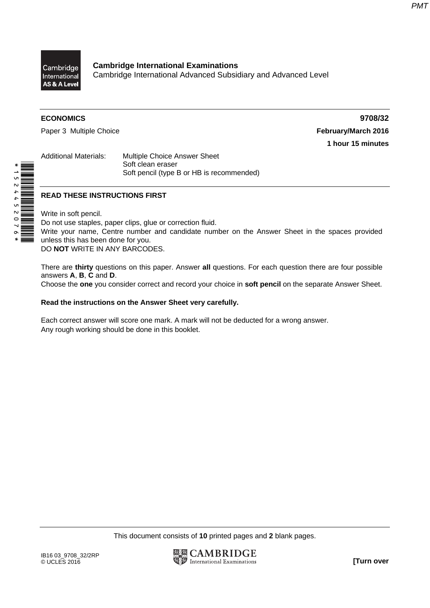

**Cambridge International Examinations**  Cambridge International Advanced Subsidiary and Advanced Level

\*<br>-<br>- $\sim$   $\equiv$  $\overline{\equiv}$  $\overline{\equiv}$ ™  $\overline{\phantom{a}}$  $\circ \equiv$  $\Rightarrow \equiv$  $\overline{\phantom{1}}$ \* Paper 3 Multiple Choice **February/March 2016** 

**ECONOMICS 9708/32 1 hour 15 minutes** 

Additional Materials: Multiple Choice Answer Sheet Soft clean eraser Soft pencil (type B or HB is recommended)

#### **READ THESE INSTRUCTIONS FIRST**

Write in soft pencil.

Do not use staples, paper clips, glue or correction fluid. Write your name, Centre number and candidate number on the Answer Sheet in the spaces provided unless this has been done for you. DO **NOT** WRITE IN ANY BARCODES.

There are **thirty** questions on this paper. Answer **all** questions. For each question there are four possible answers **A**, **B**, **C** and **D**.

Choose the **one** you consider correct and record your choice in **soft pencil** on the separate Answer Sheet.

### **Read the instructions on the Answer Sheet very carefully.**

Each correct answer will score one mark. A mark will not be deducted for a wrong answer. Any rough working should be done in this booklet.

This document consists of **10** printed pages and **2** blank pages.

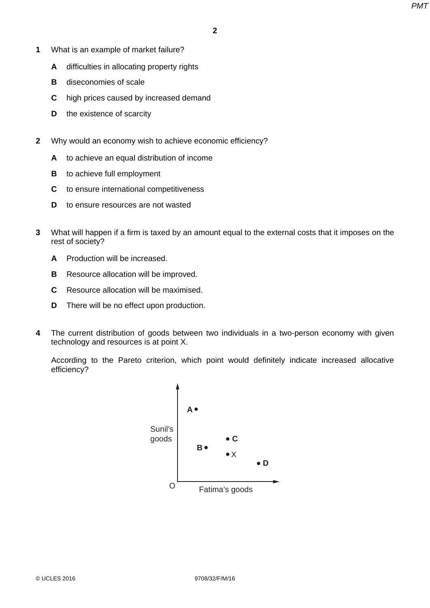- **1** What is an example of market failure?
	- **A** difficulties in allocating property rights
	- **B** diseconomies of scale
	- **C** high prices caused by increased demand
	- **D** the existence of scarcity
- **2** Why would an economy wish to achieve economic efficiency?
	- **A** to achieve an equal distribution of income
	- **B** to achieve full employment
	- **C** to ensure international competitiveness
	- **D** to ensure resources are not wasted
- **3** What will happen if a firm is taxed by an amount equal to the external costs that it imposes on the rest of society?
	- **A** Production will be increased.
	- **B** Resource allocation will be improved.
	- **C** Resource allocation will be maximised.
	- **D** There will be no effect upon production.
- **4** The current distribution of goods between two individuals in a two-person economy with given technology and resources is at point X.

According to the Pareto criterion, which point would definitely indicate increased allocative efficiency?

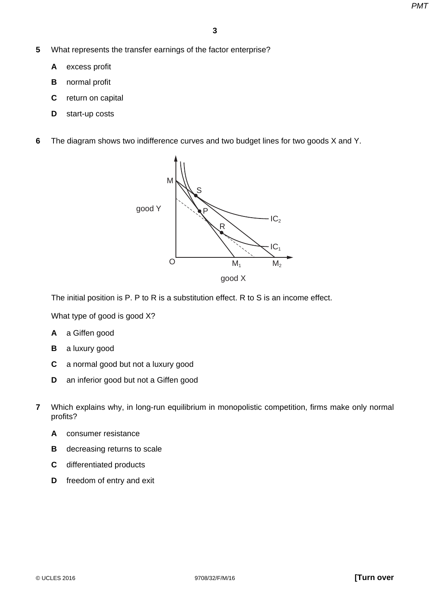- **5** What represents the transfer earnings of the factor enterprise?
	- **A** excess profit
	- **B** normal profit
	- **C** return on capital
	- **D** start-up costs
- **6** The diagram shows two indifference curves and two budget lines for two goods X and Y.



The initial position is P. P to R is a substitution effect. R to S is an income effect.

What type of good is good X?

- **A** a Giffen good
- **B** a luxury good
- **C** a normal good but not a luxury good
- **D** an inferior good but not a Giffen good
- **7** Which explains why, in long-run equilibrium in monopolistic competition, firms make only normal profits?
	- **A** consumer resistance
	- **B** decreasing returns to scale
	- **C** differentiated products
	- **D** freedom of entry and exit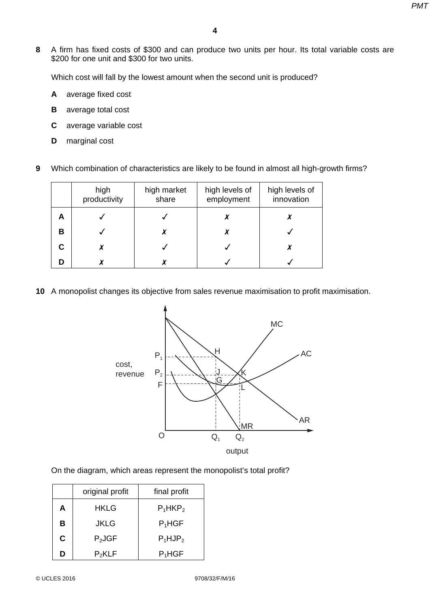**8** A firm has fixed costs of \$300 and can produce two units per hour. Its total variable costs are \$200 for one unit and \$300 for two units.

Which cost will fall by the lowest amount when the second unit is produced?

- **A** average fixed cost
- **B** average total cost
- **C** average variable cost
- **D** marginal cost
- **9** Which combination of characteristics are likely to be found in almost all high-growth firms?

|   | high<br>productivity | high market<br>share | high levels of<br>employment | high levels of<br>innovation |
|---|----------------------|----------------------|------------------------------|------------------------------|
| А |                      |                      |                              |                              |
| в |                      |                      |                              |                              |
|   |                      |                      |                              |                              |
|   |                      |                      |                              |                              |

**10** A monopolist changes its objective from sales revenue maximisation to profit maximisation.



On the diagram, which areas represent the monopolist's total profit?

|   | original profit    | final profit   |
|---|--------------------|----------------|
| Α | <b>HKLG</b>        | $P_1$ HK $P_2$ |
| в | <b>JKLG</b>        | $P_1 HGF$      |
| C | $P_2JGF$           | $P_1$ HJ $P_2$ |
|   | P <sub>2</sub> KLF | $P_1 HGF$      |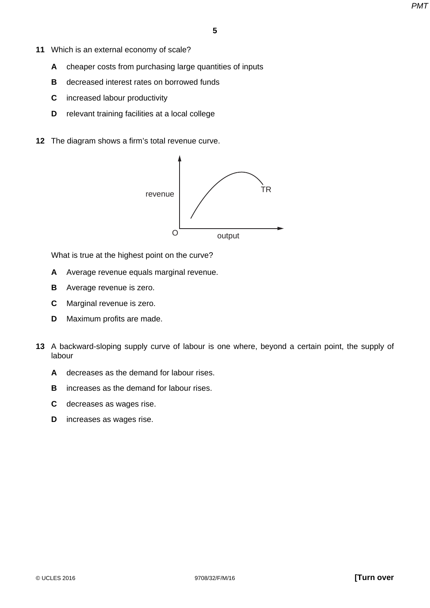- **11** Which is an external economy of scale?
	- **A** cheaper costs from purchasing large quantities of inputs
	- **B** decreased interest rates on borrowed funds
	- **C** increased labour productivity
	- **D** relevant training facilities at a local college
- **12** The diagram shows a firm's total revenue curve.



What is true at the highest point on the curve?

- **A** Average revenue equals marginal revenue.
- **B** Average revenue is zero.
- **C** Marginal revenue is zero.
- **D** Maximum profits are made.
- **13** A backward-sloping supply curve of labour is one where, beyond a certain point, the supply of labour
	- **A** decreases as the demand for labour rises.
	- **B** increases as the demand for labour rises.
	- **C** decreases as wages rise.
	- **D** increases as wages rise.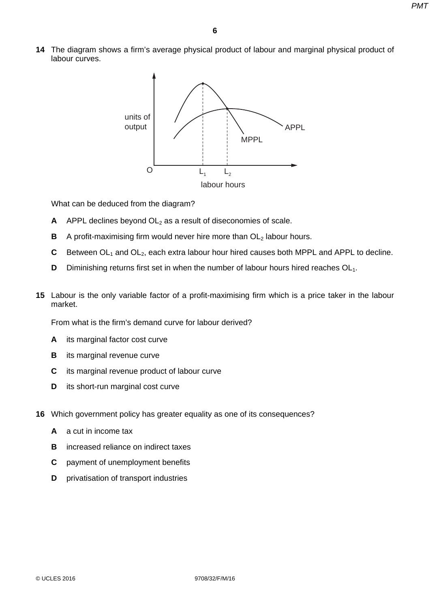**14** The diagram shows a firm's average physical product of labour and marginal physical product of labour curves.



What can be deduced from the diagram?

- A APPL declines beyond OL<sub>2</sub> as a result of diseconomies of scale.
- **B** A profit-maximising firm would never hire more than OL<sub>2</sub> labour hours.
- **C** Between OL<sub>1</sub> and OL<sub>2</sub>, each extra labour hour hired causes both MPPL and APPL to decline.
- **D** Diminishing returns first set in when the number of labour hours hired reaches OL<sub>1</sub>.
- **15** Labour is the only variable factor of a profit-maximising firm which is a price taker in the labour market.

From what is the firm's demand curve for labour derived?

- **A** its marginal factor cost curve
- **B** its marginal revenue curve
- **C** its marginal revenue product of labour curve
- **D** its short-run marginal cost curve
- **16** Which government policy has greater equality as one of its consequences?
	- **A** a cut in income tax
	- **B** increased reliance on indirect taxes
	- **C** payment of unemployment benefits
	- **D privatisation of transport industries**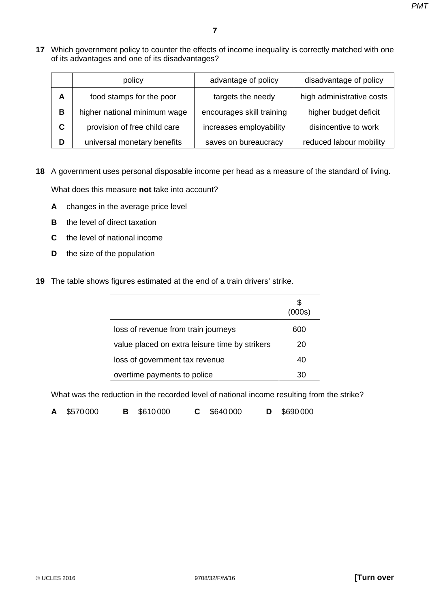**17** Which government policy to counter the effects of income inequality is correctly matched with one of its advantages and one of its disadvantages?

|    | policy                       | advantage of policy       | disadvantage of policy    |
|----|------------------------------|---------------------------|---------------------------|
| A  | food stamps for the poor     | targets the needy         | high administrative costs |
| в  | higher national minimum wage | encourages skill training | higher budget deficit     |
| C. | provision of free child care | increases employability   | disincentive to work      |
| D  | universal monetary benefits  | saves on bureaucracy      | reduced labour mobility   |

**18** A government uses personal disposable income per head as a measure of the standard of living.

What does this measure **not** take into account?

- **A** changes in the average price level
- **B** the level of direct taxation
- **C** the level of national income
- **D** the size of the population
- **19** The table shows figures estimated at the end of a train drivers' strike.

|                                                | (000s) |
|------------------------------------------------|--------|
| loss of revenue from train journeys            | 600    |
| value placed on extra leisure time by strikers | 20     |
| loss of government tax revenue                 | 40     |
| overtime payments to police                    | 30     |

What was the reduction in the recorded level of national income resulting from the strike?

**A** \$570 000 **B** \$610 000 **C** \$640 000 **D** \$690 000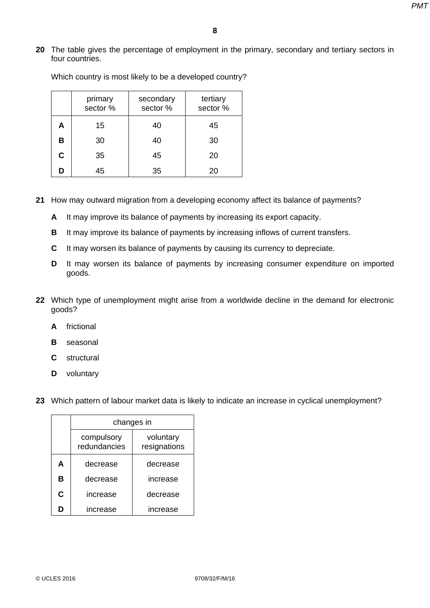**20** The table gives the percentage of employment in the primary, secondary and tertiary sectors in four countries.

|    | primary<br>sector % | secondary<br>sector % | tertiary<br>sector % |
|----|---------------------|-----------------------|----------------------|
| Α  | 15                  | 40                    | 45                   |
| B  | 30                  | 40                    | 30                   |
| C. | 35                  | 45                    | 20                   |
| D  | 45                  | 35                    | 20                   |

Which country is most likely to be a developed country?

- **21** How may outward migration from a developing economy affect its balance of payments?
	- **A** It may improve its balance of payments by increasing its export capacity.
	- **B** It may improve its balance of payments by increasing inflows of current transfers.
	- **C** It may worsen its balance of payments by causing its currency to depreciate.
	- **D** It may worsen its balance of payments by increasing consumer expenditure on imported goods.
- **22** Which type of unemployment might arise from a worldwide decline in the demand for electronic goods?
	- **A** frictional
	- **B** seasonal
	- **C** structural
	- **D** voluntary
- **23** Which pattern of labour market data is likely to indicate an increase in cyclical unemployment?

|                            | changes in |                           |  |  |  |
|----------------------------|------------|---------------------------|--|--|--|
| compulsory<br>redundancies |            | voluntary<br>resignations |  |  |  |
| A                          | decrease   | decrease                  |  |  |  |
| в                          | decrease   | increase                  |  |  |  |
| C                          | increase   | decrease                  |  |  |  |
|                            | increase   | increase                  |  |  |  |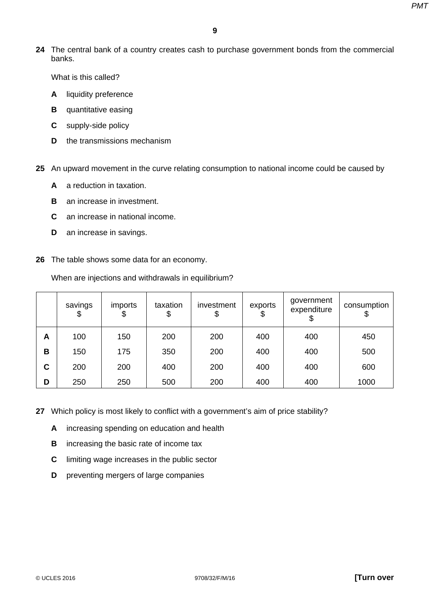**24** The central bank of a country creates cash to purchase government bonds from the commercial banks.

What is this called?

- **A** liquidity preference
- **B** quantitative easing
- **C** supply-side policy
- **D** the transmissions mechanism
- **25** An upward movement in the curve relating consumption to national income could be caused by
	- **A** a reduction in taxation.
	- **B** an increase in investment.
	- **C** an increase in national income.
	- **D** an increase in savings.
- **26** The table shows some data for an economy.

When are injections and withdrawals in equilibrium?

|   | savings<br>\$ | imports<br>\$ | taxation<br>\$ | investment<br>\$ | exports<br>\$ | government<br>expenditure | consumption |
|---|---------------|---------------|----------------|------------------|---------------|---------------------------|-------------|
| A | 100           | 150           | 200            | 200              | 400           | 400                       | 450         |
| B | 150           | 175           | 350            | 200              | 400           | 400                       | 500         |
| C | 200           | 200           | 400            | 200              | 400           | 400                       | 600         |
| D | 250           | 250           | 500            | 200              | 400           | 400                       | 1000        |

**27** Which policy is most likely to conflict with a government's aim of price stability?

- **A** increasing spending on education and health
- **B** increasing the basic rate of income tax
- **C** limiting wage increases in the public sector
- **D** preventing mergers of large companies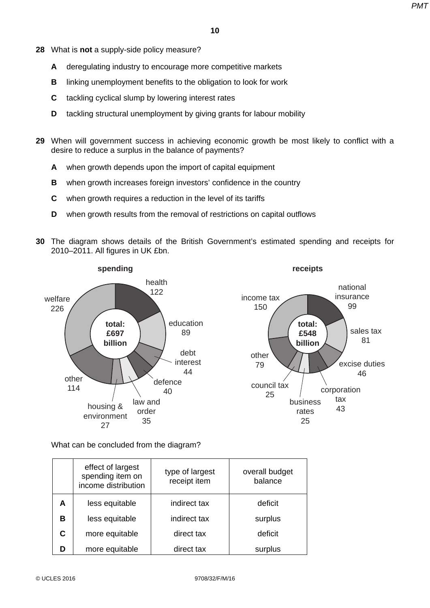- **28** What is **not** a supply-side policy measure?
	- **A** deregulating industry to encourage more competitive markets
	- **B** linking unemployment benefits to the obligation to look for work
	- **C** tackling cyclical slump by lowering interest rates
	- **D** tackling structural unemployment by giving grants for labour mobility
- **29** When will government success in achieving economic growth be most likely to conflict with a desire to reduce a surplus in the balance of payments?
	- **A** when growth depends upon the import of capital equipment
	- **B** when growth increases foreign investors' confidence in the country
	- **C** when growth requires a reduction in the level of its tariffs
	- **D** when growth results from the removal of restrictions on capital outflows
- **30** The diagram shows details of the British Government's estimated spending and receipts for 2010–2011. All figures in UK £bn.



What can be concluded from the diagram?

|   | effect of largest<br>spending item on<br>income distribution | type of largest<br>receipt item | overall budget<br>balance |
|---|--------------------------------------------------------------|---------------------------------|---------------------------|
| A | less equitable                                               | indirect tax                    | deficit                   |
| в | less equitable                                               | indirect tax                    | surplus                   |
|   | more equitable                                               | direct tax                      | deficit                   |
| D | more equitable                                               | direct tax                      | surplus                   |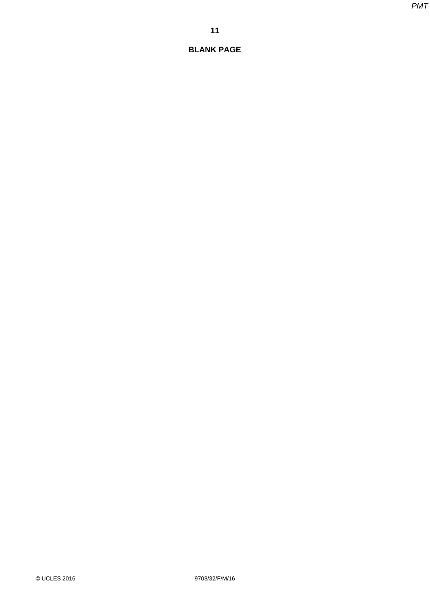## **11**

# **BLANK PAGE**